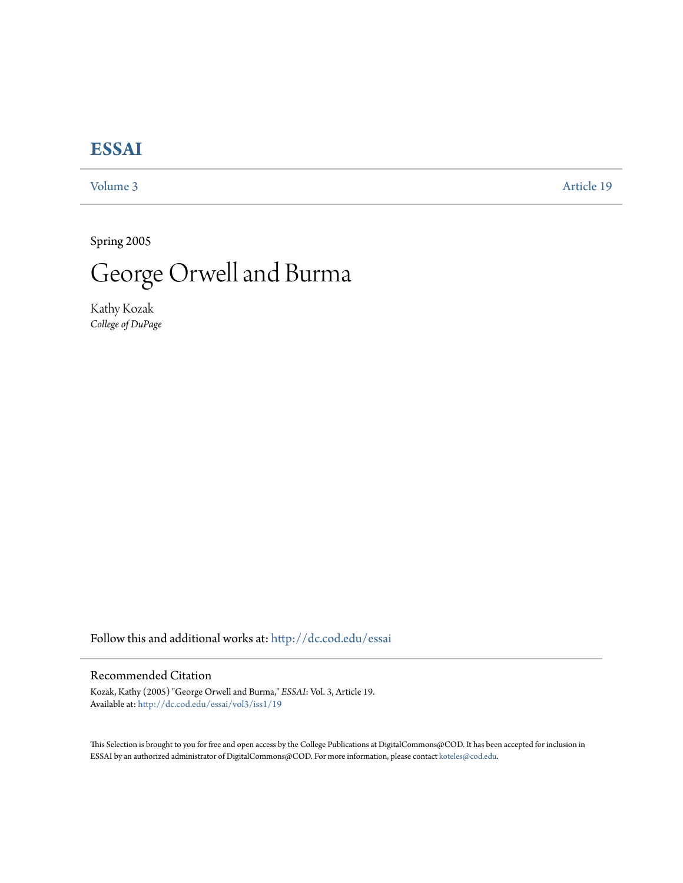## **[ESSAI](http://dc.cod.edu/essai?utm_source=dc.cod.edu%2Fessai%2Fvol3%2Fiss1%2F19&utm_medium=PDF&utm_campaign=PDFCoverPages)**

[Volume 3](http://dc.cod.edu/essai/vol3?utm_source=dc.cod.edu%2Fessai%2Fvol3%2Fiss1%2F19&utm_medium=PDF&utm_campaign=PDFCoverPages) [Article 19](http://dc.cod.edu/essai/vol3/iss1/19?utm_source=dc.cod.edu%2Fessai%2Fvol3%2Fiss1%2F19&utm_medium=PDF&utm_campaign=PDFCoverPages)

Spring 2005



Kathy Kozak *College of DuPage*

Follow this and additional works at: [http://dc.cod.edu/essai](http://dc.cod.edu/essai?utm_source=dc.cod.edu%2Fessai%2Fvol3%2Fiss1%2F19&utm_medium=PDF&utm_campaign=PDFCoverPages)

## Recommended Citation

Kozak, Kathy (2005) "George Orwell and Burma," *ESSAI*: Vol. 3, Article 19. Available at: [http://dc.cod.edu/essai/vol3/iss1/19](http://dc.cod.edu/essai/vol3/iss1/19?utm_source=dc.cod.edu%2Fessai%2Fvol3%2Fiss1%2F19&utm_medium=PDF&utm_campaign=PDFCoverPages)

This Selection is brought to you for free and open access by the College Publications at DigitalCommons@COD. It has been accepted for inclusion in ESSAI by an authorized administrator of DigitalCommons@COD. For more information, please contact [koteles@cod.edu](mailto:koteles@cod.edu).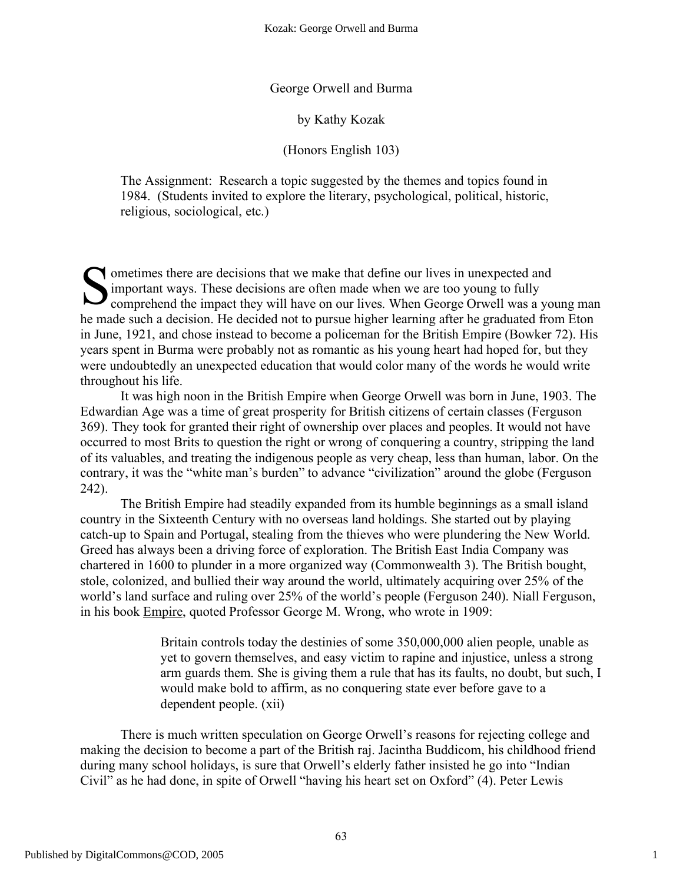George Orwell and Burma

by Kathy Kozak

(Honors English 103)

The Assignment: Research a topic suggested by the themes and topics found in 1984. (Students invited to explore the literary, psychological, political, historic, religious, sociological, etc.)

Solutions there are decisions that we make that define our lives in unexpected and important ways. These decisions are often made when we are too young to fully comprehend the impact they will have on our lives. When Georg important ways. These decisions are often made when we are too young to fully comprehend the impact they will have on our lives. When George Orwell was a young man he made such a decision. He decided not to pursue higher learning after he graduated from Eton in June, 1921, and chose instead to become a policeman for the British Empire (Bowker 72). His years spent in Burma were probably not as romantic as his young heart had hoped for, but they were undoubtedly an unexpected education that would color many of the words he would write throughout his life.

It was high noon in the British Empire when George Orwell was born in June, 1903. The Edwardian Age was a time of great prosperity for British citizens of certain classes (Ferguson 369). They took for granted their right of ownership over places and peoples. It would not have occurred to most Brits to question the right or wrong of conquering a country, stripping the land of its valuables, and treating the indigenous people as very cheap, less than human, labor. On the contrary, it was the "white man's burden" to advance "civilization" around the globe (Ferguson 242).

The British Empire had steadily expanded from its humble beginnings as a small island country in the Sixteenth Century with no overseas land holdings. She started out by playing catch-up to Spain and Portugal, stealing from the thieves who were plundering the New World. Greed has always been a driving force of exploration. The British East India Company was chartered in 1600 to plunder in a more organized way (Commonwealth 3). The British bought, stole, colonized, and bullied their way around the world, ultimately acquiring over 25% of the world's land surface and ruling over 25% of the world's people (Ferguson 240). Niall Ferguson, in his book Empire, quoted Professor George M. Wrong, who wrote in 1909:

> Britain controls today the destinies of some 350,000,000 alien people, unable as yet to govern themselves, and easy victim to rapine and injustice, unless a strong arm guards them. She is giving them a rule that has its faults, no doubt, but such, I would make bold to affirm, as no conquering state ever before gave to a dependent people. (xii)

There is much written speculation on George Orwell's reasons for rejecting college and making the decision to become a part of the British raj. Jacintha Buddicom, his childhood friend during many school holidays, is sure that Orwell's elderly father insisted he go into "Indian Civil" as he had done, in spite of Orwell "having his heart set on Oxford" (4). Peter Lewis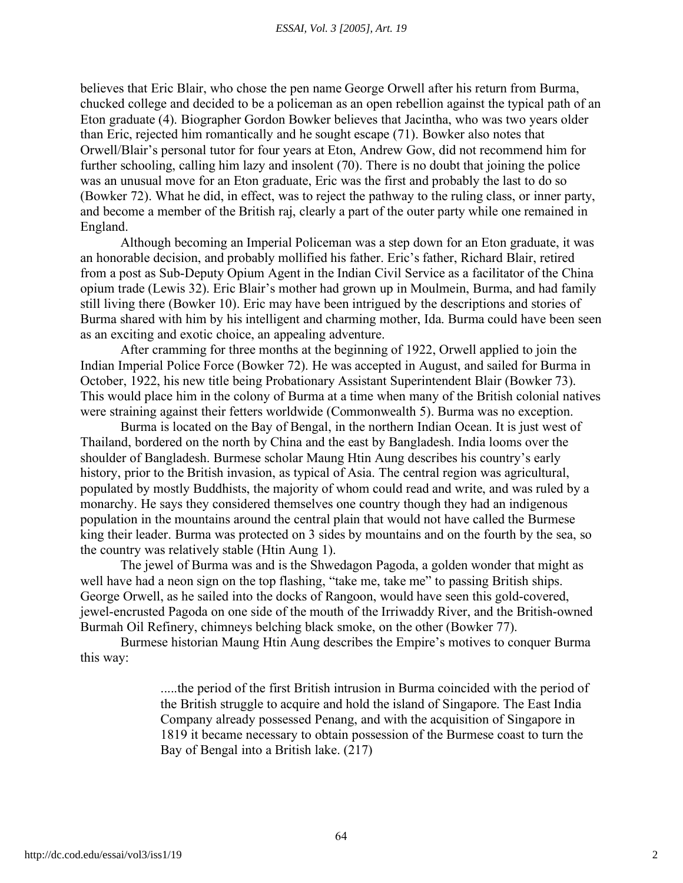believes that Eric Blair, who chose the pen name George Orwell after his return from Burma, chucked college and decided to be a policeman as an open rebellion against the typical path of an Eton graduate (4). Biographer Gordon Bowker believes that Jacintha, who was two years older than Eric, rejected him romantically and he sought escape (71). Bowker also notes that Orwell/Blair's personal tutor for four years at Eton, Andrew Gow, did not recommend him for further schooling, calling him lazy and insolent (70). There is no doubt that joining the police was an unusual move for an Eton graduate, Eric was the first and probably the last to do so (Bowker 72). What he did, in effect, was to reject the pathway to the ruling class, or inner party, and become a member of the British raj, clearly a part of the outer party while one remained in England.

Although becoming an Imperial Policeman was a step down for an Eton graduate, it was an honorable decision, and probably mollified his father. Eric's father, Richard Blair, retired from a post as Sub-Deputy Opium Agent in the Indian Civil Service as a facilitator of the China opium trade (Lewis 32). Eric Blair's mother had grown up in Moulmein, Burma, and had family still living there (Bowker 10). Eric may have been intrigued by the descriptions and stories of Burma shared with him by his intelligent and charming mother, Ida. Burma could have been seen as an exciting and exotic choice, an appealing adventure.

After cramming for three months at the beginning of 1922, Orwell applied to join the Indian Imperial Police Force (Bowker 72). He was accepted in August, and sailed for Burma in October, 1922, his new title being Probationary Assistant Superintendent Blair (Bowker 73). This would place him in the colony of Burma at a time when many of the British colonial natives were straining against their fetters worldwide (Commonwealth 5). Burma was no exception.

Burma is located on the Bay of Bengal, in the northern Indian Ocean. It is just west of Thailand, bordered on the north by China and the east by Bangladesh. India looms over the shoulder of Bangladesh. Burmese scholar Maung Htin Aung describes his country's early history, prior to the British invasion, as typical of Asia. The central region was agricultural, populated by mostly Buddhists, the majority of whom could read and write, and was ruled by a monarchy. He says they considered themselves one country though they had an indigenous population in the mountains around the central plain that would not have called the Burmese king their leader. Burma was protected on 3 sides by mountains and on the fourth by the sea, so the country was relatively stable (Htin Aung 1).

The jewel of Burma was and is the Shwedagon Pagoda, a golden wonder that might as well have had a neon sign on the top flashing, "take me, take me" to passing British ships. George Orwell, as he sailed into the docks of Rangoon, would have seen this gold-covered, jewel-encrusted Pagoda on one side of the mouth of the Irriwaddy River, and the British-owned Burmah Oil Refinery, chimneys belching black smoke, on the other (Bowker 77).

Burmese historian Maung Htin Aung describes the Empire's motives to conquer Burma this way:

> .....the period of the first British intrusion in Burma coincided with the period of the British struggle to acquire and hold the island of Singapore. The East India Company already possessed Penang, and with the acquisition of Singapore in 1819 it became necessary to obtain possession of the Burmese coast to turn the Bay of Bengal into a British lake. (217)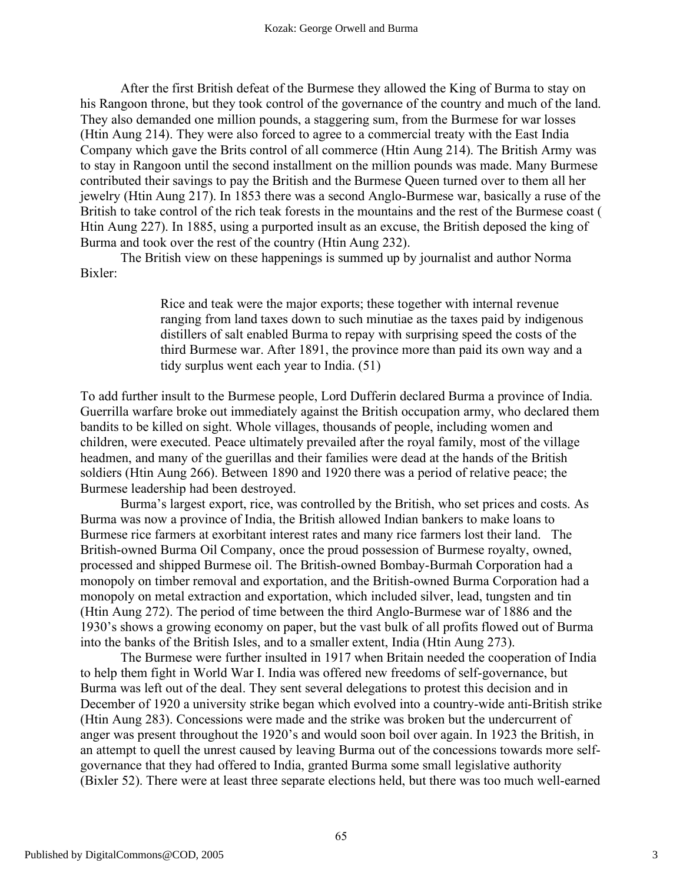After the first British defeat of the Burmese they allowed the King of Burma to stay on his Rangoon throne, but they took control of the governance of the country and much of the land. They also demanded one million pounds, a staggering sum, from the Burmese for war losses (Htin Aung 214). They were also forced to agree to a commercial treaty with the East India Company which gave the Brits control of all commerce (Htin Aung 214). The British Army was to stay in Rangoon until the second installment on the million pounds was made. Many Burmese contributed their savings to pay the British and the Burmese Queen turned over to them all her jewelry (Htin Aung 217). In 1853 there was a second Anglo-Burmese war, basically a ruse of the British to take control of the rich teak forests in the mountains and the rest of the Burmese coast ( Htin Aung 227). In 1885, using a purported insult as an excuse, the British deposed the king of Burma and took over the rest of the country (Htin Aung 232).

The British view on these happenings is summed up by journalist and author Norma Bixler:

> Rice and teak were the major exports; these together with internal revenue ranging from land taxes down to such minutiae as the taxes paid by indigenous distillers of salt enabled Burma to repay with surprising speed the costs of the third Burmese war. After 1891, the province more than paid its own way and a tidy surplus went each year to India. (51)

To add further insult to the Burmese people, Lord Dufferin declared Burma a province of India. Guerrilla warfare broke out immediately against the British occupation army, who declared them bandits to be killed on sight. Whole villages, thousands of people, including women and children, were executed. Peace ultimately prevailed after the royal family, most of the village headmen, and many of the guerillas and their families were dead at the hands of the British soldiers (Htin Aung 266). Between 1890 and 1920 there was a period of relative peace; the Burmese leadership had been destroyed.

Burma's largest export, rice, was controlled by the British, who set prices and costs. As Burma was now a province of India, the British allowed Indian bankers to make loans to Burmese rice farmers at exorbitant interest rates and many rice farmers lost their land. The British-owned Burma Oil Company, once the proud possession of Burmese royalty, owned, processed and shipped Burmese oil. The British-owned Bombay-Burmah Corporation had a monopoly on timber removal and exportation, and the British-owned Burma Corporation had a monopoly on metal extraction and exportation, which included silver, lead, tungsten and tin (Htin Aung 272). The period of time between the third Anglo-Burmese war of 1886 and the 1930's shows a growing economy on paper, but the vast bulk of all profits flowed out of Burma into the banks of the British Isles, and to a smaller extent, India (Htin Aung 273).

The Burmese were further insulted in 1917 when Britain needed the cooperation of India to help them fight in World War I. India was offered new freedoms of self-governance, but Burma was left out of the deal. They sent several delegations to protest this decision and in December of 1920 a university strike began which evolved into a country-wide anti-British strike (Htin Aung 283). Concessions were made and the strike was broken but the undercurrent of anger was present throughout the 1920's and would soon boil over again. In 1923 the British, in an attempt to quell the unrest caused by leaving Burma out of the concessions towards more selfgovernance that they had offered to India, granted Burma some small legislative authority (Bixler 52). There were at least three separate elections held, but there was too much well-earned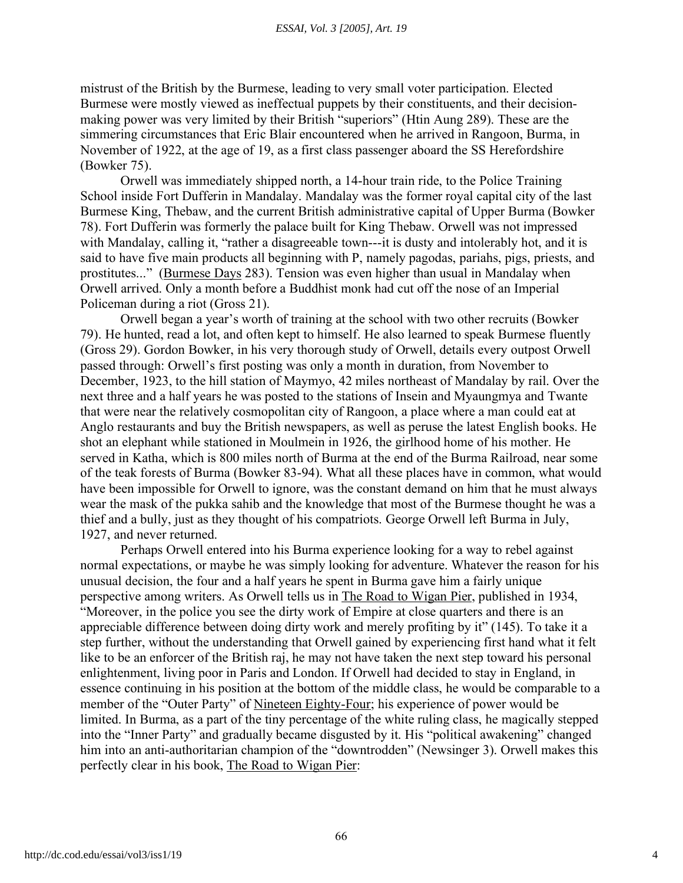mistrust of the British by the Burmese, leading to very small voter participation. Elected Burmese were mostly viewed as ineffectual puppets by their constituents, and their decisionmaking power was very limited by their British "superiors" (Htin Aung 289). These are the simmering circumstances that Eric Blair encountered when he arrived in Rangoon, Burma, in November of 1922, at the age of 19, as a first class passenger aboard the SS Herefordshire (Bowker 75).

Orwell was immediately shipped north, a 14-hour train ride, to the Police Training School inside Fort Dufferin in Mandalay. Mandalay was the former royal capital city of the last Burmese King, Thebaw, and the current British administrative capital of Upper Burma (Bowker 78). Fort Dufferin was formerly the palace built for King Thebaw. Orwell was not impressed with Mandalay, calling it, "rather a disagreeable town---it is dusty and intolerably hot, and it is said to have five main products all beginning with P, namely pagodas, pariahs, pigs, priests, and prostitutes..." (Burmese Days 283). Tension was even higher than usual in Mandalay when Orwell arrived. Only a month before a Buddhist monk had cut off the nose of an Imperial Policeman during a riot (Gross 21).

Orwell began a year's worth of training at the school with two other recruits (Bowker 79). He hunted, read a lot, and often kept to himself. He also learned to speak Burmese fluently (Gross 29). Gordon Bowker, in his very thorough study of Orwell, details every outpost Orwell passed through: Orwell's first posting was only a month in duration, from November to December, 1923, to the hill station of Maymyo, 42 miles northeast of Mandalay by rail. Over the next three and a half years he was posted to the stations of Insein and Myaungmya and Twante that were near the relatively cosmopolitan city of Rangoon, a place where a man could eat at Anglo restaurants and buy the British newspapers, as well as peruse the latest English books. He shot an elephant while stationed in Moulmein in 1926, the girlhood home of his mother. He served in Katha, which is 800 miles north of Burma at the end of the Burma Railroad, near some of the teak forests of Burma (Bowker 83-94). What all these places have in common, what would have been impossible for Orwell to ignore, was the constant demand on him that he must always wear the mask of the pukka sahib and the knowledge that most of the Burmese thought he was a thief and a bully, just as they thought of his compatriots. George Orwell left Burma in July, 1927, and never returned.

Perhaps Orwell entered into his Burma experience looking for a way to rebel against normal expectations, or maybe he was simply looking for adventure. Whatever the reason for his unusual decision, the four and a half years he spent in Burma gave him a fairly unique perspective among writers. As Orwell tells us in The Road to Wigan Pier, published in 1934, "Moreover, in the police you see the dirty work of Empire at close quarters and there is an appreciable difference between doing dirty work and merely profiting by it" (145). To take it a step further, without the understanding that Orwell gained by experiencing first hand what it felt like to be an enforcer of the British raj, he may not have taken the next step toward his personal enlightenment, living poor in Paris and London. If Orwell had decided to stay in England, in essence continuing in his position at the bottom of the middle class, he would be comparable to a member of the "Outer Party" of Nineteen Eighty-Four; his experience of power would be limited. In Burma, as a part of the tiny percentage of the white ruling class, he magically stepped into the "Inner Party" and gradually became disgusted by it. His "political awakening" changed him into an anti-authoritarian champion of the "downtrodden" (Newsinger 3). Orwell makes this perfectly clear in his book, The Road to Wigan Pier: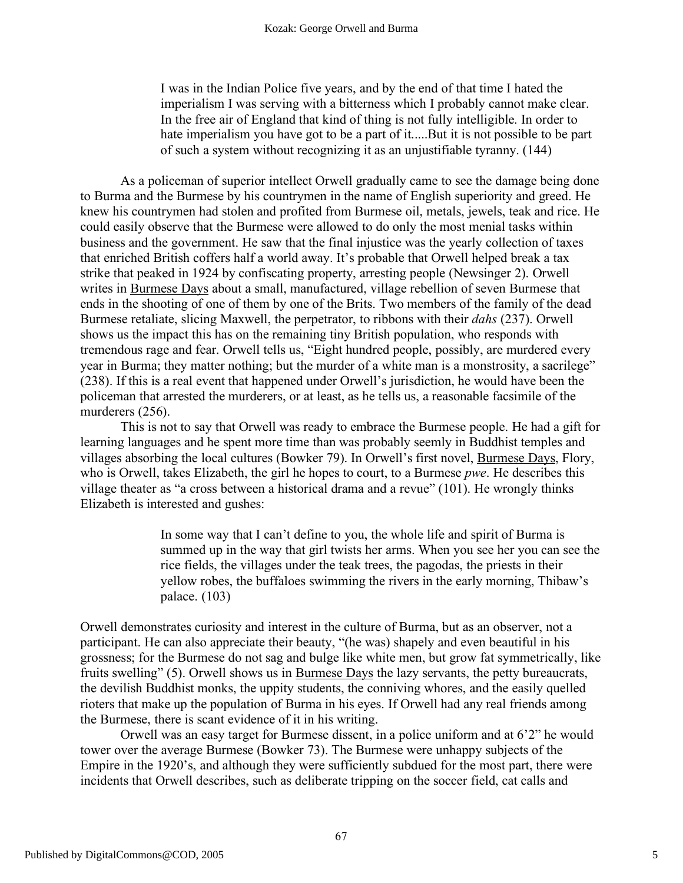I was in the Indian Police five years, and by the end of that time I hated the imperialism I was serving with a bitterness which I probably cannot make clear. In the free air of England that kind of thing is not fully intelligible. In order to hate imperialism you have got to be a part of it.....But it is not possible to be part of such a system without recognizing it as an unjustifiable tyranny. (144)

As a policeman of superior intellect Orwell gradually came to see the damage being done to Burma and the Burmese by his countrymen in the name of English superiority and greed. He knew his countrymen had stolen and profited from Burmese oil, metals, jewels, teak and rice. He could easily observe that the Burmese were allowed to do only the most menial tasks within business and the government. He saw that the final injustice was the yearly collection of taxes that enriched British coffers half a world away. It's probable that Orwell helped break a tax strike that peaked in 1924 by confiscating property, arresting people (Newsinger 2). Orwell writes in Burmese Days about a small, manufactured, village rebellion of seven Burmese that ends in the shooting of one of them by one of the Brits. Two members of the family of the dead Burmese retaliate, slicing Maxwell, the perpetrator, to ribbons with their *dahs* (237). Orwell shows us the impact this has on the remaining tiny British population, who responds with tremendous rage and fear. Orwell tells us, "Eight hundred people, possibly, are murdered every year in Burma; they matter nothing; but the murder of a white man is a monstrosity, a sacrilege" (238). If this is a real event that happened under Orwell's jurisdiction, he would have been the policeman that arrested the murderers, or at least, as he tells us, a reasonable facsimile of the murderers (256).

This is not to say that Orwell was ready to embrace the Burmese people. He had a gift for learning languages and he spent more time than was probably seemly in Buddhist temples and villages absorbing the local cultures (Bowker 79). In Orwell's first novel, Burmese Days, Flory, who is Orwell, takes Elizabeth, the girl he hopes to court, to a Burmese *pwe*. He describes this village theater as "a cross between a historical drama and a revue" (101). He wrongly thinks Elizabeth is interested and gushes:

> In some way that I can't define to you, the whole life and spirit of Burma is summed up in the way that girl twists her arms. When you see her you can see the rice fields, the villages under the teak trees, the pagodas, the priests in their yellow robes, the buffaloes swimming the rivers in the early morning, Thibaw's palace. (103)

Orwell demonstrates curiosity and interest in the culture of Burma, but as an observer, not a participant. He can also appreciate their beauty, "(he was) shapely and even beautiful in his grossness; for the Burmese do not sag and bulge like white men, but grow fat symmetrically, like fruits swelling" (5). Orwell shows us in Burmese Days the lazy servants, the petty bureaucrats, the devilish Buddhist monks, the uppity students, the conniving whores, and the easily quelled rioters that make up the population of Burma in his eyes. If Orwell had any real friends among the Burmese, there is scant evidence of it in his writing.

Orwell was an easy target for Burmese dissent, in a police uniform and at 6'2" he would tower over the average Burmese (Bowker 73). The Burmese were unhappy subjects of the Empire in the 1920's, and although they were sufficiently subdued for the most part, there were incidents that Orwell describes, such as deliberate tripping on the soccer field, cat calls and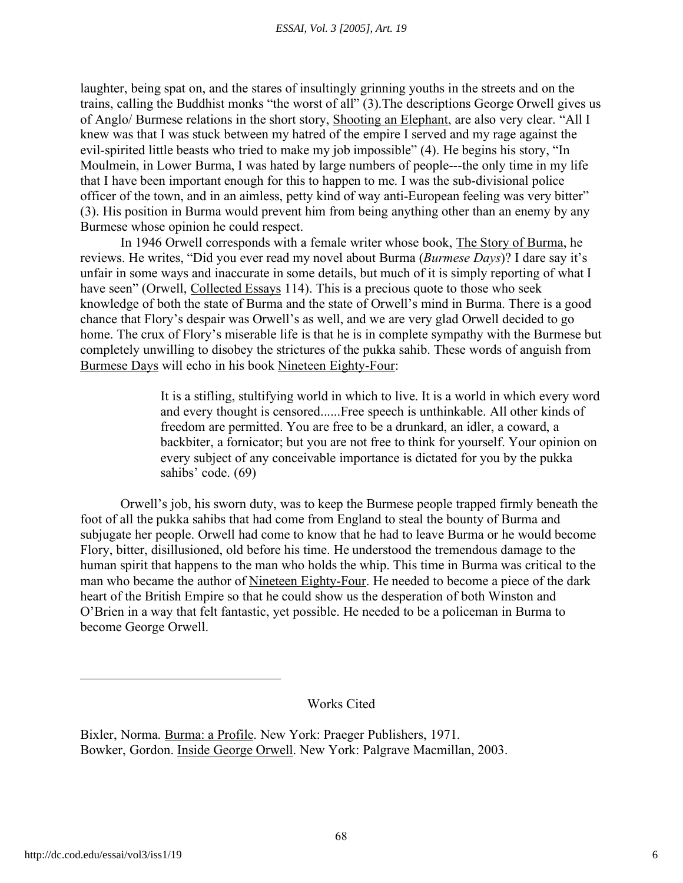laughter, being spat on, and the stares of insultingly grinning youths in the streets and on the trains, calling the Buddhist monks "the worst of all" (3).The descriptions George Orwell gives us of Anglo/ Burmese relations in the short story, Shooting an Elephant, are also very clear. "All I knew was that I was stuck between my hatred of the empire I served and my rage against the evil-spirited little beasts who tried to make my job impossible" (4). He begins his story, "In Moulmein, in Lower Burma, I was hated by large numbers of people---the only time in my life that I have been important enough for this to happen to me. I was the sub-divisional police officer of the town, and in an aimless, petty kind of way anti-European feeling was very bitter" (3). His position in Burma would prevent him from being anything other than an enemy by any Burmese whose opinion he could respect.

In 1946 Orwell corresponds with a female writer whose book, The Story of Burma, he reviews. He writes, "Did you ever read my novel about Burma (*Burmese Days*)? I dare say it's unfair in some ways and inaccurate in some details, but much of it is simply reporting of what I have seen" (Orwell, Collected Essays 114). This is a precious quote to those who seek knowledge of both the state of Burma and the state of Orwell's mind in Burma. There is a good chance that Flory's despair was Orwell's as well, and we are very glad Orwell decided to go home. The crux of Flory's miserable life is that he is in complete sympathy with the Burmese but completely unwilling to disobey the strictures of the pukka sahib. These words of anguish from Burmese Days will echo in his book Nineteen Eighty-Four:

> It is a stifling, stultifying world in which to live. It is a world in which every word and every thought is censored......Free speech is unthinkable. All other kinds of freedom are permitted. You are free to be a drunkard, an idler, a coward, a backbiter, a fornicator; but you are not free to think for yourself. Your opinion on every subject of any conceivable importance is dictated for you by the pukka sahibs' code. (69)

Orwell's job, his sworn duty, was to keep the Burmese people trapped firmly beneath the foot of all the pukka sahibs that had come from England to steal the bounty of Burma and subjugate her people. Orwell had come to know that he had to leave Burma or he would become Flory, bitter, disillusioned, old before his time. He understood the tremendous damage to the human spirit that happens to the man who holds the whip. This time in Burma was critical to the man who became the author of Nineteen Eighty-Four. He needed to become a piece of the dark heart of the British Empire so that he could show us the desperation of both Winston and O'Brien in a way that felt fantastic, yet possible. He needed to be a policeman in Burma to become George Orwell.

Works Cited

Bixler, Norma. Burma: a Profile. New York: Praeger Publishers, 1971. Bowker, Gordon. Inside George Orwell. New York: Palgrave Macmillan, 2003.